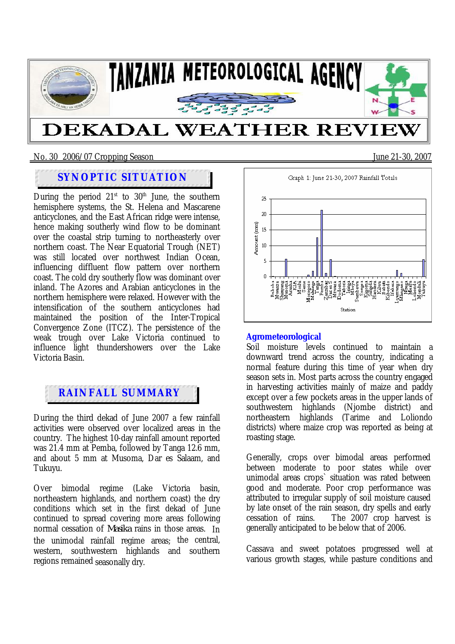

#### No. 30 2006/07 Cropping SeasonJune 21-30, 2007

# **SYNOPTIC SITUATION**

During the period  $21<sup>st</sup>$  to  $30<sup>th</sup>$  June, the southern hemisphere systems, the St. Helena and Mascarene anticyclones, and the East African ridge were intense, hence making southerly wind flow to be dominant over the coastal strip turning to northeasterly over northern coast. The Near Equatorial Trough (NET) was still located over northwest Indian Ocean. influencing diffluent flow pattern over northern coast. The cold dry southerly flow was dominant over inland. The Azores and Arabian anticyclones in the northern hemisphere were relaxed. However with the intensification of the southern anticyclones had maintained the position of the Inter-Tropical Convergence Zone (ITCZ). The persistence of the weak trough over Lake Victoria continued to influence light thundershowers over the Lake Victoria Basin.

# **RAINFALL SUMMARY**

During the third dekad of June 2007 a few rainfall activities were observed over localized areas in the country. The highest 10-day rainfall amount reported was 21.4 mm at Pemba, followed by Tanga 12.6 mm, and about 5 mm at Musoma, Dar es Salaam, and Tukuyu.

Over bimodal regime (Lake Victoria basin, northeastern highlands, and northern coast) the dry conditions which set in the first dekad of June continued to spread covering more areas following normal cessation of *Masika* rains in those areas. In the unimodal rainfall regime areas; the central, western, southwestern highlands and southern regions remained seasonally dry.



### **Agrometeorological**

Soil moisture levels continued to maintain a downward trend across the country, indicating a normal feature during this time of year when dry season sets in. Most parts across the country engaged in harvesting activities mainly of maize and paddy except over a few pockets areas in the upper lands of southwestern highlands (Njombe district) and northeastern highlands (Tarime and Loliondo districts) where maize crop was reported as being at roasting stage.

Generally, crops over bimodal areas performed between moderate to poor states while over unimodal areas crops` situation was rated between good and moderate. Poor crop performance was attributed to irregular supply of soil moisture caused by late onset of the rain season, dry spells and early cessation of rains. The 2007 crop harvest is generally anticipated to be below that of 2006.

Cassava and sweet potatoes progressed well at various growth stages, while pasture conditions and